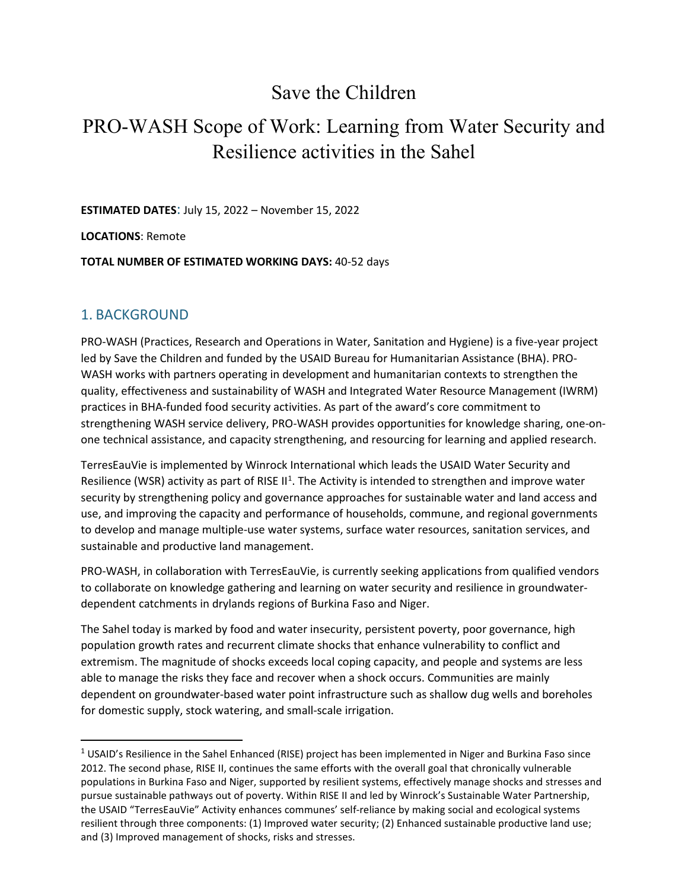# Save the Children

# PRO-WASH Scope of Work: Learning from Water Security and Resilience activities in the Sahel

**ESTIMATED DATES**: July 15, 2022 – November 15, 2022

**LOCATIONS**: Remote

**TOTAL NUMBER OF ESTIMATED WORKING DAYS:** 40-52 days

## 1. BACKGROUND

PRO-WASH (Practices, Research and Operations in Water, Sanitation and Hygiene) is a five-year project led by Save the Children and funded by the USAID Bureau for Humanitarian Assistance (BHA). PRO-WASH works with partners operating in development and humanitarian contexts to strengthen the quality, effectiveness and sustainability of WASH and Integrated Water Resource Management (IWRM) practices in BHA-funded food security activities. As part of the award's core commitment to strengthening WASH service delivery, PRO-WASH provides opportunities for knowledge sharing, one-onone technical assistance, and capacity strengthening, and resourcing for learning and applied research.

TerresEauVie is implemented by Winrock International which leads the USAID Water Security and Resilience (WSR) activity as part of RISE  $II^1$ . The Activity is intended to strengthen and improve water security by strengthening policy and governance approaches for sustainable water and land access and use, and improving the capacity and performance of households, commune, and regional governments to develop and manage multiple-use water systems, surface water resources, sanitation services, and sustainable and productive land management.

PRO-WASH, in collaboration with TerresEauVie, is currently seeking applications from qualified vendors to collaborate on knowledge gathering and learning on water security and resilience in groundwaterdependent catchments in drylands regions of Burkina Faso and Niger.

The Sahel today is marked by food and water insecurity, persistent poverty, poor governance, high population growth rates and recurrent climate shocks that enhance vulnerability to conflict and extremism. The magnitude of shocks exceeds local coping capacity, and people and systems are less able to manage the risks they face and recover when a shock occurs. Communities are mainly dependent on groundwater-based water point infrastructure such as shallow dug wells and boreholes for domestic supply, stock watering, and small-scale irrigation.

<span id="page-0-0"></span> $1$  USAID's Resilience in the Sahel Enhanced (RISE) project has been implemented in Niger and Burkina Faso since 2012. The second phase, RISE II, continues the same efforts with the overall goal that chronically vulnerable populations in Burkina Faso and Niger, supported by resilient systems, effectively manage shocks and stresses and pursue sustainable pathways out of poverty. Within RISE II and led by Winrock's Sustainable Water Partnership, the USAID "TerresEauVie" Activity enhances communes' self-reliance by making social and ecological systems resilient through three components: (1) Improved water security; (2) Enhanced sustainable productive land use; and (3) Improved management of shocks, risks and stresses.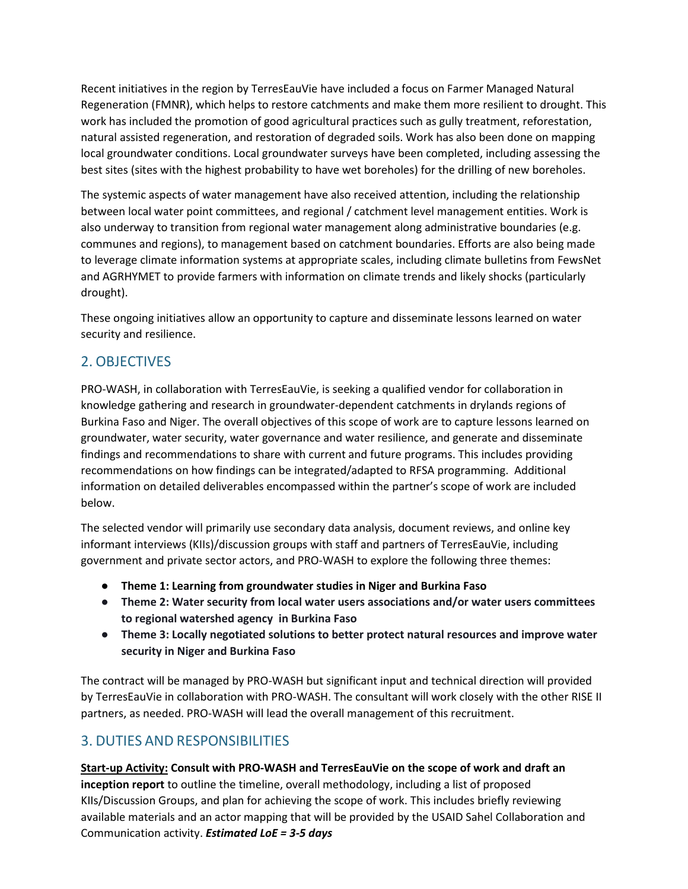Recent initiatives in the region by TerresEauVie have included a focus on Farmer Managed Natural Regeneration (FMNR), which helps to restore catchments and make them more resilient to drought. This work has included the promotion of good agricultural practices such as gully treatment, reforestation, natural assisted regeneration, and restoration of degraded soils. Work has also been done on mapping local groundwater conditions. Local groundwater surveys have been completed, including assessing the best sites (sites with the highest probability to have wet boreholes) for the drilling of new boreholes.

The systemic aspects of water management have also received attention, including the relationship between local water point committees, and regional / catchment level management entities. Work is also underway to transition from regional water management along administrative boundaries (e.g. communes and regions), to management based on catchment boundaries. Efforts are also being made to leverage climate information systems at appropriate scales, including climate bulletins from FewsNet and AGRHYMET to provide farmers with information on climate trends and likely shocks (particularly drought).

These ongoing initiatives allow an opportunity to capture and disseminate lessons learned on water security and resilience.

# 2. OBJECTIVES

PRO-WASH, in collaboration with TerresEauVie, is seeking a qualified vendor for collaboration in knowledge gathering and research in groundwater-dependent catchments in drylands regions of Burkina Faso and Niger. The overall objectives of this scope of work are to capture lessons learned on groundwater, water security, water governance and water resilience, and generate and disseminate findings and recommendations to share with current and future programs. This includes providing recommendations on how findings can be integrated/adapted to RFSA programming. Additional information on detailed deliverables encompassed within the partner's scope of work are included below.

The selected vendor will primarily use secondary data analysis, document reviews, and online key informant interviews (KIIs)/discussion groups with staff and partners of TerresEauVie, including government and private sector actors, and PRO-WASH to explore the following three themes:

- **Theme 1: Learning from groundwater studies in Niger and Burkina Faso**
- **Theme 2: Water security from local water users associations and/or water users committees to regional watershed agency in Burkina Faso**
- **Theme 3: Locally negotiated solutions to better protect natural resources and improve water security in Niger and Burkina Faso**

The contract will be managed by PRO-WASH but significant input and technical direction will provided by TerresEauVie in collaboration with PRO-WASH. The consultant will work closely with the other RISE II partners, as needed. PRO-WASH will lead the overall management of this recruitment.

# 3. DUTIES AND RESPONSIBILITIES

**Start-up Activity: Consult with PRO-WASH and TerresEauVie on the scope of work and draft an inception report** to outline the timeline, overall methodology, including a list of proposed KIIs/Discussion Groups, and plan for achieving the scope of work. This includes briefly reviewing available materials and an actor mapping that will be provided by the USAID Sahel Collaboration and Communication activity. *Estimated LoE = 3-5 days*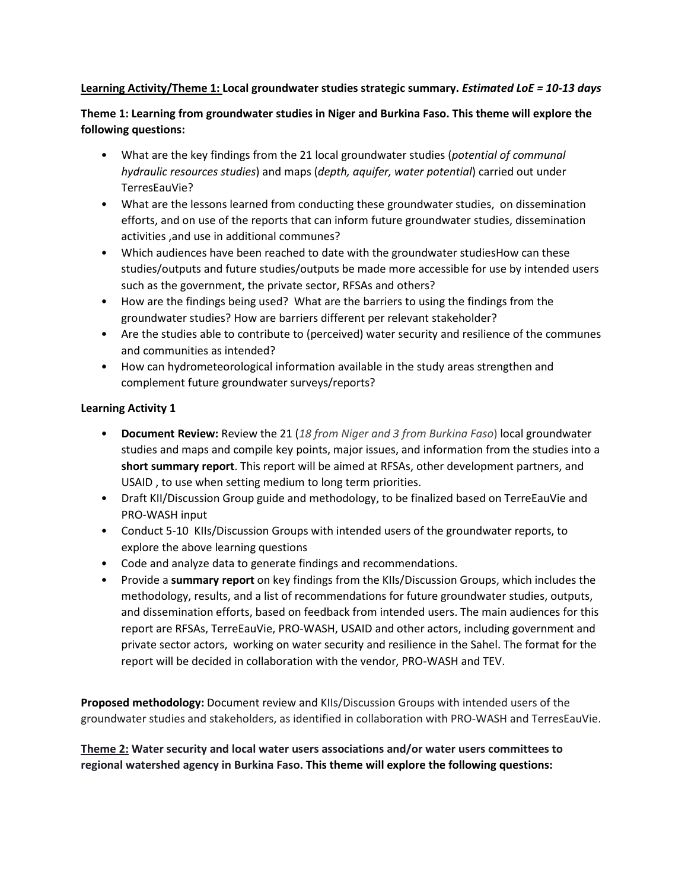#### **Learning Activity/Theme 1: Local groundwater studies strategic summary.** *Estimated LoE = 10-13 days*

**Theme 1: Learning from groundwater studies in Niger and Burkina Faso. This theme will explore the following questions:**

- What are the key findings from the 21 local groundwater studies (*potential of communal hydraulic resources studies*) and maps (*depth, aquifer, water potential*) carried out under TerresEauVie?
- What are the lessons learned from conducting these groundwater studies, on dissemination efforts, and on use of the reports that can inform future groundwater studies, dissemination activities ,and use in additional communes?
- Which audiences have been reached to date with the groundwater studiesHow can these studies/outputs and future studies/outputs be made more accessible for use by intended users such as the government, the private sector, RFSAs and others?
- How are the findings being used? What are the barriers to using the findings from the groundwater studies? How are barriers different per relevant stakeholder?
- Are the studies able to contribute to (perceived) water security and resilience of the communes and communities as intended?
- How can hydrometeorological information available in the study areas strengthen and complement future groundwater surveys/reports?

#### **Learning Activity 1**

- **Document Review:** Review the 21 (*18 from Niger and 3 from Burkina Faso*) local groundwater studies and maps and compile key points, major issues, and information from the studies into a **short summary report**. This report will be aimed at RFSAs, other development partners, and USAID , to use when setting medium to long term priorities.
- Draft KII/Discussion Group guide and methodology, to be finalized based on TerreEauVie and PRO-WASH input
- Conduct 5-10 KIIs/Discussion Groups with intended users of the groundwater reports, to explore the above learning questions
- Code and analyze data to generate findings and recommendations.
- Provide a **summary report** on key findings from the KIIs/Discussion Groups, which includes the methodology, results, and a list of recommendations for future groundwater studies, outputs, and dissemination efforts, based on feedback from intended users. The main audiences for this report are RFSAs, TerreEauVie, PRO-WASH, USAID and other actors, including government and private sector actors, working on water security and resilience in the Sahel. The format for the report will be decided in collaboration with the vendor, PRO-WASH and TEV.

**Proposed methodology:** Document review and KIIs/Discussion Groups with intended users of the groundwater studies and stakeholders, as identified in collaboration with PRO-WASH and TerresEauVie.

**Theme 2: Water security and local water users associations and/or water users committees to regional watershed agency in Burkina Faso. This theme will explore the following questions:**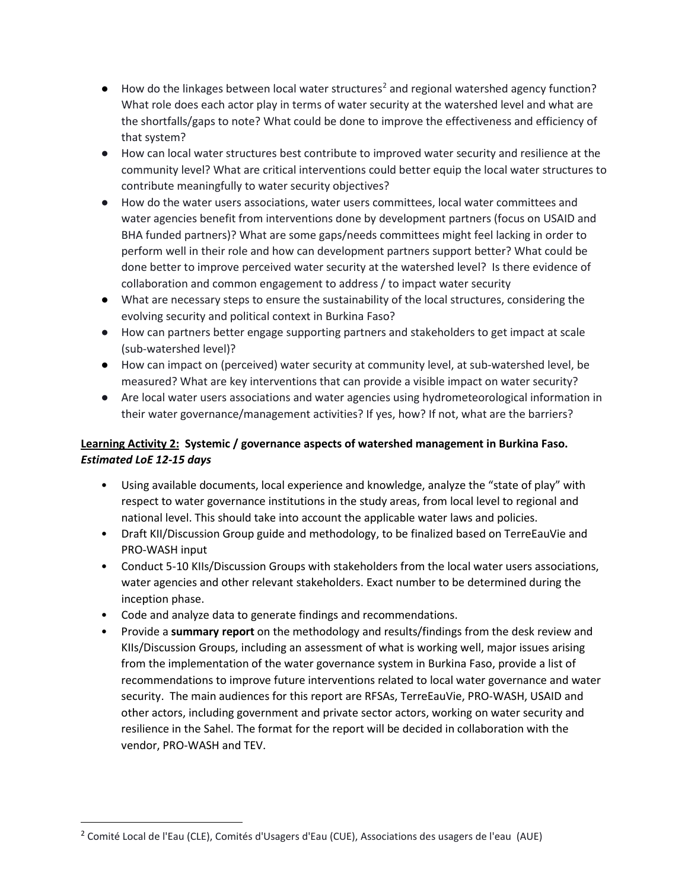- $\bullet$  How do the linkages between local water structures<sup>[2](#page-3-0)</sup> and regional watershed agency function? What role does each actor play in terms of water security at the watershed level and what are the shortfalls/gaps to note? What could be done to improve the effectiveness and efficiency of that system?
- How can local water structures best contribute to improved water security and resilience at the community level? What are critical interventions could better equip the local water structures to contribute meaningfully to water security objectives?
- How do the water users associations, water users committees, local water committees and water agencies benefit from interventions done by development partners (focus on USAID and BHA funded partners)? What are some gaps/needs committees might feel lacking in order to perform well in their role and how can development partners support better? What could be done better to improve perceived water security at the watershed level? Is there evidence of collaboration and common engagement to address / to impact water security
- What are necessary steps to ensure the sustainability of the local structures, considering the evolving security and political context in Burkina Faso?
- How can partners better engage supporting partners and stakeholders to get impact at scale (sub-watershed level)?
- How can impact on (perceived) water security at community level, at sub-watershed level, be measured? What are key interventions that can provide a visible impact on water security?
- Are local water users associations and water agencies using hydrometeorological information in their water governance/management activities? If yes, how? If not, what are the barriers?

## **Learning Activity 2: Systemic / governance aspects of watershed management in Burkina Faso.**  *Estimated LoE 12-15 days*

- Using available documents, local experience and knowledge, analyze the "state of play" with respect to water governance institutions in the study areas, from local level to regional and national level. This should take into account the applicable water laws and policies.
- Draft KII/Discussion Group guide and methodology, to be finalized based on TerreEauVie and PRO-WASH input
- Conduct 5-10 KIIs/Discussion Groups with stakeholders from the local water users associations, water agencies and other relevant stakeholders. Exact number to be determined during the inception phase.
- Code and analyze data to generate findings and recommendations.
- Provide a **summary report** on the methodology and results/findings from the desk review and KIIs/Discussion Groups, including an assessment of what is working well, major issues arising from the implementation of the water governance system in Burkina Faso, provide a list of recommendations to improve future interventions related to local water governance and water security. The main audiences for this report are RFSAs, TerreEauVie, PRO-WASH, USAID and other actors, including government and private sector actors, working on water security and resilience in the Sahel. The format for the report will be decided in collaboration with the vendor, PRO-WASH and TEV.

l

<span id="page-3-0"></span><sup>2</sup> Comité Local de l'Eau (CLE), Comités d'Usagers d'Eau (CUE), Associations des usagers de l'eau (AUE)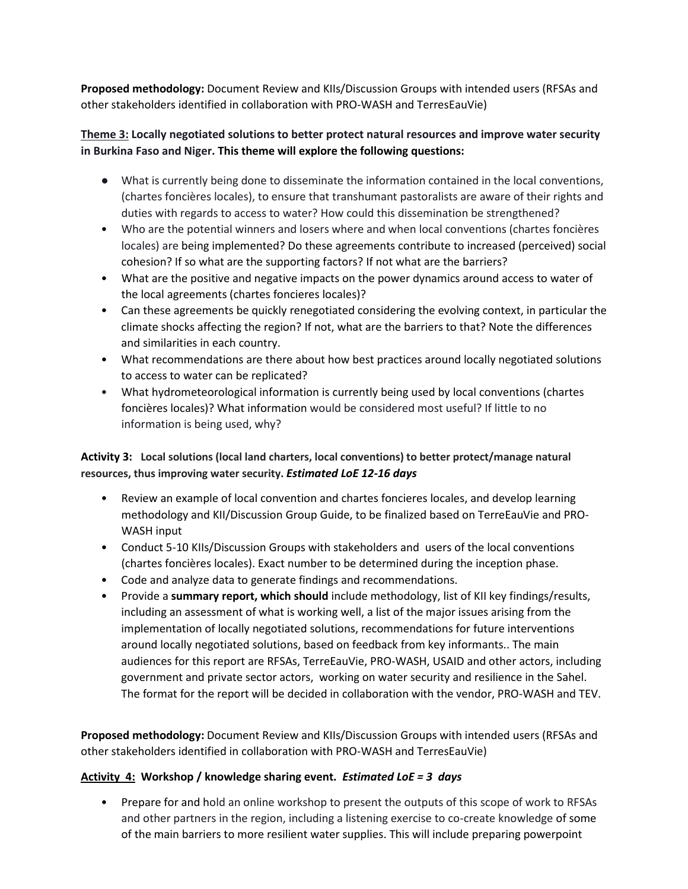**Proposed methodology:** Document Review and KIIs/Discussion Groups with intended users (RFSAs and other stakeholders identified in collaboration with PRO-WASH and TerresEauVie)

### **Theme 3: Locally negotiated solutions to better protect natural resources and improve water security in Burkina Faso and Niger. This theme will explore the following questions:**

- What is currently being done to disseminate the information contained in the local conventions, (chartes foncières locales), to ensure that transhumant pastoralists are aware of their rights and duties with regards to access to water? How could this dissemination be strengthened?
- Who are the potential winners and losers where and when local conventions (chartes foncières locales) are being implemented? Do these agreements contribute to increased (perceived) social cohesion? If so what are the supporting factors? If not what are the barriers?
- What are the positive and negative impacts on the power dynamics around access to water of the local agreements (chartes foncieres locales)?
- Can these agreements be quickly renegotiated considering the evolving context, in particular the climate shocks affecting the region? If not, what are the barriers to that? Note the differences and similarities in each country.
- What recommendations are there about how best practices around locally negotiated solutions to access to water can be replicated?
- What hydrometeorological information is currently being used by local conventions (chartes foncières locales)? What information would be considered most useful? If little to no information is being used, why?

## **Activity 3: Local solutions (local land charters, local conventions) to better protect/manage natural resources, thus improving water security.** *Estimated LoE 12-16 days*

- Review an example of local convention and chartes foncieres locales, and develop learning methodology and KII/Discussion Group Guide, to be finalized based on TerreEauVie and PRO-WASH input
- Conduct 5-10 KIIs/Discussion Groups with stakeholders and users of the local conventions (chartes foncières locales). Exact number to be determined during the inception phase.
- Code and analyze data to generate findings and recommendations.
- Provide a **summary report, which should** include methodology, list of KII key findings/results, including an assessment of what is working well, a list of the major issues arising from the implementation of locally negotiated solutions, recommendations for future interventions around locally negotiated solutions, based on feedback from key informants.. The main audiences for this report are RFSAs, TerreEauVie, PRO-WASH, USAID and other actors, including government and private sector actors, working on water security and resilience in the Sahel. The format for the report will be decided in collaboration with the vendor, PRO-WASH and TEV.

**Proposed methodology:** Document Review and KIIs/Discussion Groups with intended users (RFSAs and other stakeholders identified in collaboration with PRO-WASH and TerresEauVie)

## **Activity 4: Workshop / knowledge sharing event.** *Estimated LoE = 3 days*

• Prepare for and hold an online workshop to present the outputs of this scope of work to RFSAs and other partners in the region, including a listening exercise to co-create knowledge of some of the main barriers to more resilient water supplies. This will include preparing powerpoint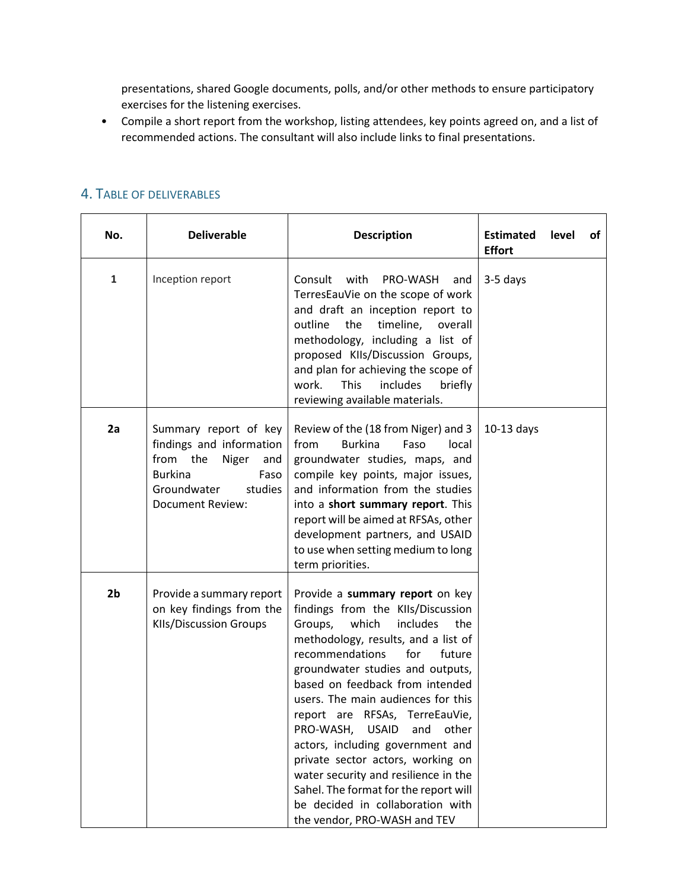presentations, shared Google documents, polls, and/or other methods to ensure participatory exercises for the listening exercises.

• Compile a short report from the workshop, listing attendees, key points agreed on, and a list of recommended actions. The consultant will also include links to final presentations.

| No.            | <b>Deliverable</b>                                                                                                                                           | <b>Description</b>                                                                                                                                                                                                                                                                                                                                                                                                                                                                                                                                                                                               | <b>Estimated</b><br><b>Effort</b> | level | of |
|----------------|--------------------------------------------------------------------------------------------------------------------------------------------------------------|------------------------------------------------------------------------------------------------------------------------------------------------------------------------------------------------------------------------------------------------------------------------------------------------------------------------------------------------------------------------------------------------------------------------------------------------------------------------------------------------------------------------------------------------------------------------------------------------------------------|-----------------------------------|-------|----|
| $\mathbf{1}$   | Inception report                                                                                                                                             | with<br>Consult<br>PRO-WASH<br>and<br>TerresEauVie on the scope of work<br>and draft an inception report to<br>the<br>timeline,<br>outline<br>overall<br>methodology, including a list of<br>proposed KIIs/Discussion Groups,<br>and plan for achieving the scope of<br><b>This</b><br>work.<br>includes<br>briefly<br>reviewing available materials.                                                                                                                                                                                                                                                            | 3-5 days                          |       |    |
| 2a             | Summary report of key<br>findings and information<br>from the<br>Niger<br>and<br><b>Burkina</b><br>Faso<br>Groundwater<br>studies<br><b>Document Review:</b> | Review of the (18 from Niger) and 3<br><b>Burkina</b><br>Faso<br>from<br>local<br>groundwater studies, maps, and<br>compile key points, major issues,<br>and information from the studies<br>into a short summary report. This<br>report will be aimed at RFSAs, other<br>development partners, and USAID<br>to use when setting medium to long<br>term priorities.                                                                                                                                                                                                                                              | $10-13$ days                      |       |    |
| 2 <sub>b</sub> | Provide a summary report<br>on key findings from the<br><b>KIIs/Discussion Groups</b>                                                                        | Provide a summary report on key<br>findings from the KIIs/Discussion<br>which<br>includes<br>Groups,<br>the<br>methodology, results, and a list of<br>recommendations<br>for<br>future<br>groundwater studies and outputs,<br>based on feedback from intended<br>users. The main audiences for this<br>report are RFSAs, TerreEauVie,<br>PRO-WASH,<br><b>USAID</b><br>other<br>and<br>actors, including government and<br>private sector actors, working on<br>water security and resilience in the<br>Sahel. The format for the report will<br>be decided in collaboration with<br>the vendor, PRO-WASH and TEV |                                   |       |    |

#### 4. TABLE OF DELIVERABLES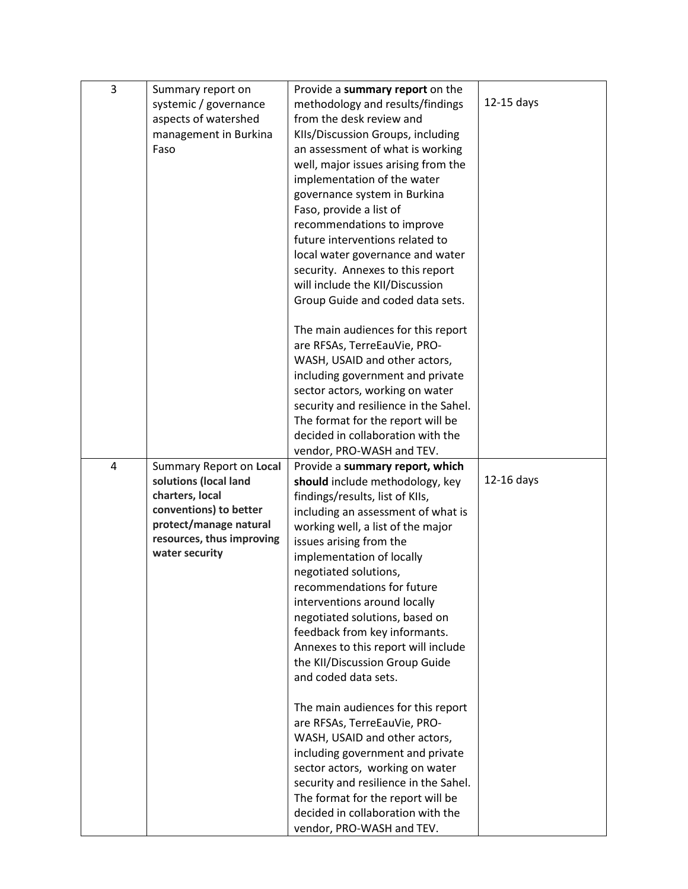| 3 | Summary report on              | Provide a summary report on the                                |              |
|---|--------------------------------|----------------------------------------------------------------|--------------|
|   | systemic / governance          | methodology and results/findings                               | $12-15$ days |
|   | aspects of watershed           | from the desk review and                                       |              |
|   | management in Burkina          | KIIs/Discussion Groups, including                              |              |
|   | Faso                           | an assessment of what is working                               |              |
|   |                                | well, major issues arising from the                            |              |
|   |                                | implementation of the water                                    |              |
|   |                                |                                                                |              |
|   |                                | governance system in Burkina<br>Faso, provide a list of        |              |
|   |                                | recommendations to improve                                     |              |
|   |                                | future interventions related to                                |              |
|   |                                |                                                                |              |
|   |                                | local water governance and water                               |              |
|   |                                | security. Annexes to this report                               |              |
|   |                                | will include the KII/Discussion                                |              |
|   |                                | Group Guide and coded data sets.                               |              |
|   |                                | The main audiences for this report                             |              |
|   |                                | are RFSAs, TerreEauVie, PRO-                                   |              |
|   |                                | WASH, USAID and other actors,                                  |              |
|   |                                | including government and private                               |              |
|   |                                | sector actors, working on water                                |              |
|   |                                | security and resilience in the Sahel.                          |              |
|   |                                | The format for the report will be                              |              |
|   |                                | decided in collaboration with the                              |              |
|   |                                | vendor, PRO-WASH and TEV.                                      |              |
| 4 | <b>Summary Report on Local</b> | Provide a summary report, which                                |              |
|   | solutions (local land          | should include methodology, key                                | $12-16$ days |
|   | charters, local                | findings/results, list of KIIs,                                |              |
|   | conventions) to better         | including an assessment of what is                             |              |
|   | protect/manage natural         | working well, a list of the major                              |              |
|   | resources, thus improving      | issues arising from the                                        |              |
|   | water security                 | implementation of locally                                      |              |
|   |                                | negotiated solutions,                                          |              |
|   |                                | recommendations for future                                     |              |
|   |                                | interventions around locally                                   |              |
|   |                                | negotiated solutions, based on                                 |              |
|   |                                | feedback from key informants.                                  |              |
|   |                                | Annexes to this report will include                            |              |
|   |                                | the KII/Discussion Group Guide                                 |              |
|   |                                | and coded data sets.                                           |              |
|   |                                |                                                                |              |
|   |                                |                                                                |              |
|   |                                | The main audiences for this report                             |              |
|   |                                | are RFSAs, TerreEauVie, PRO-                                   |              |
|   |                                | WASH, USAID and other actors,                                  |              |
|   |                                | including government and private                               |              |
|   |                                | sector actors, working on water                                |              |
|   |                                | security and resilience in the Sahel.                          |              |
|   |                                | The format for the report will be                              |              |
|   |                                | decided in collaboration with the<br>vendor, PRO-WASH and TEV. |              |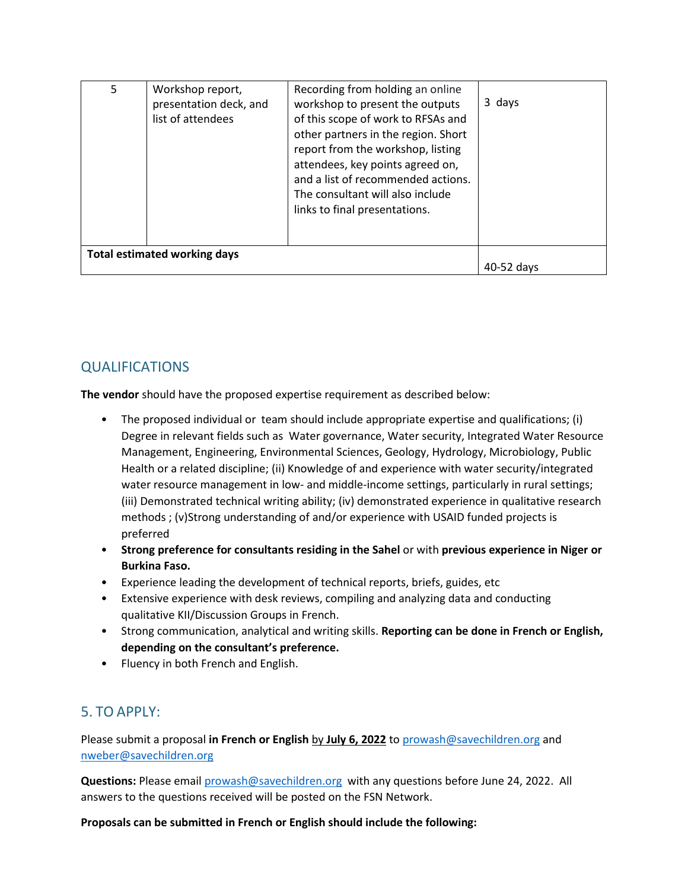| 5                                   | Workshop report,<br>presentation deck, and<br>list of attendees | Recording from holding an online<br>workshop to present the outputs<br>of this scope of work to RFSAs and<br>other partners in the region. Short<br>report from the workshop, listing<br>attendees, key points agreed on,<br>and a list of recommended actions.<br>The consultant will also include<br>links to final presentations. | 3 days |
|-------------------------------------|-----------------------------------------------------------------|--------------------------------------------------------------------------------------------------------------------------------------------------------------------------------------------------------------------------------------------------------------------------------------------------------------------------------------|--------|
| <b>Total estimated working days</b> | 40-52 days                                                      |                                                                                                                                                                                                                                                                                                                                      |        |

# QUALIFICATIONS

**The vendor** should have the proposed expertise requirement as described below:

- The proposed individual or team should include appropriate expertise and qualifications; (i) Degree in relevant fields such as Water governance, Water security, Integrated Water Resource Management, Engineering, Environmental Sciences, Geology, Hydrology, Microbiology, Public Health or a related discipline; (ii) Knowledge of and experience with water security/integrated water resource management in low- and middle-income settings, particularly in rural settings; (iii) Demonstrated technical writing ability; (iv) demonstrated experience in qualitative research methods ; (v)Strong understanding of and/or experience with USAID funded projects is preferred
- **Strong preference for consultants residing in the Sahel** or with **previous experience in Niger or Burkina Faso.**
- Experience leading the development of technical reports, briefs, guides, etc
- Extensive experience with desk reviews, compiling and analyzing data and conducting qualitative KII/Discussion Groups in French.
- Strong communication, analytical and writing skills. **Reporting can be done in French or English, depending on the consultant's preference.**
- Fluency in both French and English.

## 5. TO APPLY:

Please submit a proposal **in French or English** by **July 6, 2022** to prowash@savechildren.org and [nweber@savechildren.org](mailto:nweber@savechildren.org) 

**Questions:** Please email [prowash@savechildren.org](mailto:prowash@savechildren.org) with any questions before June 24, 2022. All answers to the questions received will be posted on the FSN Network.

#### **Proposals can be submitted in French or English should include the following:**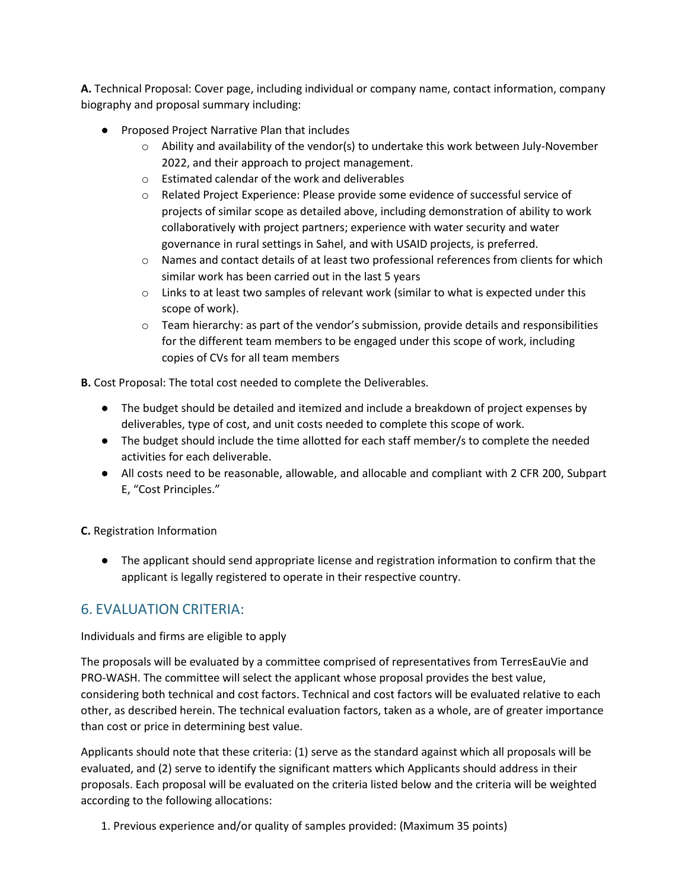**A.** Technical Proposal: Cover page, including individual or company name, contact information, company biography and proposal summary including:

- Proposed Project Narrative Plan that includes
	- $\circ$  Ability and availability of the vendor(s) to undertake this work between July-November 2022, and their approach to project management.
	- o Estimated calendar of the work and deliverables
	- o Related Project Experience: Please provide some evidence of successful service of projects of similar scope as detailed above, including demonstration of ability to work collaboratively with project partners; experience with water security and water governance in rural settings in Sahel, and with USAID projects, is preferred.
	- $\circ$  Names and contact details of at least two professional references from clients for which similar work has been carried out in the last 5 years
	- $\circ$  Links to at least two samples of relevant work (similar to what is expected under this scope of work).
	- $\circ$  Team hierarchy: as part of the vendor's submission, provide details and responsibilities for the different team members to be engaged under this scope of work, including copies of CVs for all team members

**B.** Cost Proposal: The total cost needed to complete the Deliverables.

- The budget should be detailed and itemized and include a breakdown of project expenses by deliverables, type of cost, and unit costs needed to complete this scope of work.
- The budget should include the time allotted for each staff member/s to complete the needed activities for each deliverable.
- All costs need to be reasonable, allowable, and allocable and compliant with 2 CFR 200, Subpart E, "Cost Principles."

**C.** Registration Information

● The applicant should send appropriate license and registration information to confirm that the applicant is legally registered to operate in their respective country.

## 6. EVALUATION CRITERIA:

#### Individuals and firms are eligible to apply

The proposals will be evaluated by a committee comprised of representatives from TerresEauVie and PRO-WASH. The committee will select the applicant whose proposal provides the best value, considering both technical and cost factors. Technical and cost factors will be evaluated relative to each other, as described herein. The technical evaluation factors, taken as a whole, are of greater importance than cost or price in determining best value.

Applicants should note that these criteria: (1) serve as the standard against which all proposals will be evaluated, and (2) serve to identify the significant matters which Applicants should address in their proposals. Each proposal will be evaluated on the criteria listed below and the criteria will be weighted according to the following allocations:

1. Previous experience and/or quality of samples provided: (Maximum 35 points)